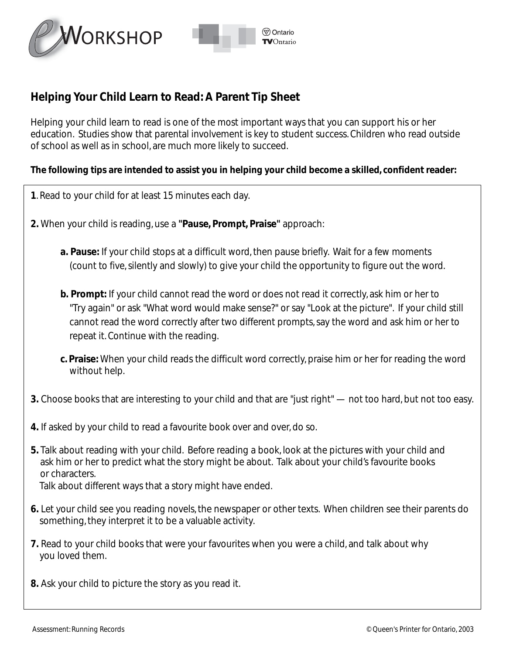



## **Helping Your Child Learn to Read: A Parent Tip Sheet**

Helping your child learn to read is one of the most important ways that you can support his or her education. Studies show that parental involvement is key to student success. Children who read outside of school as well as in school, are much more likely to succeed.

## **The following tips are intended to assist you in helping your child become a skilled, confident reader:**

- **1**. Read to your child for at least 15 minutes each day.
- **2.** When your child is reading, use a **"Pause, Prompt, Praise"** approach:
	- **a. Pause:** If your child stops at a difficult word, then pause briefly. Wait for a few moments (count to five, silently and slowly) to give your child the opportunity to figure out the word.
	- **b. Prompt:** If your child cannot read the word or does not read it correctly, ask him or her to "Try again" or ask "What word would make sense?" or say "Look at the picture". If your child still cannot read the word correctly after two different prompts, say the word and ask him or her to repeat it. Continue with the reading.
	- **c. Praise:** When your child reads the difficult word correctly, praise him or her for reading the word without help.
- **3.** Choose books that are interesting to your child and that are "just right" not too hard, but not too easy.
- **4.** If asked by your child to read a favourite book over and over, do so.
- **5.** Talk about reading with your child. Before reading a book, look at the pictures with your child and ask him or her to predict what the story might be about. Talk about your child's favourite books or characters. Talk about different ways that a story might have ended.
- **6.** Let your child see you reading novels, the newspaper or other texts. When children see their parents do something, they interpret it to be a valuable activity.
- **7.** Read to your child books that were your favourites when you were a child, and talk about why you loved them.
- **8.** Ask your child to picture the story as you read it.